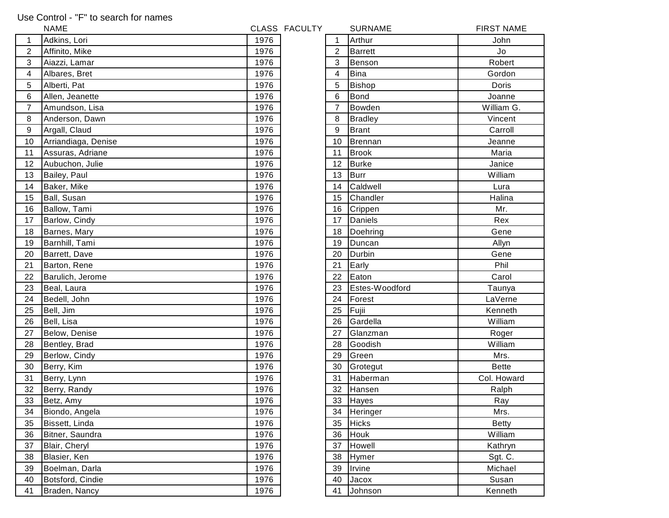## Use Control - "F" to search for names

|                | <b>NAME</b>         |      | CLASS FACULTY |                | <b>SURNAME</b> | <b>FIRST NAME</b> |
|----------------|---------------------|------|---------------|----------------|----------------|-------------------|
| 1              | Adkins, Lori        | 1976 |               |                | Arthur         | John              |
| $\overline{c}$ | Affinito, Mike      | 1976 |               | $\overline{2}$ | <b>Barrett</b> | Jo                |
| 3              | Aiazzi, Lamar       | 1976 |               | 3              | Benson         | Robert            |
| 4              | Albares, Bret       | 1976 |               | 4              | <b>Bina</b>    | Gordon            |
| 5              | Alberti, Pat        | 1976 |               | 5              | Bishop         | Doris             |
| 6              | Allen, Jeanette     | 1976 |               | 6              | <b>Bond</b>    | Joanne            |
| $\overline{7}$ | Amundson, Lisa      | 1976 |               | $\overline{7}$ | Bowden         | William G.        |
| 8              | Anderson, Dawn      | 1976 |               | 8              | <b>Bradley</b> | Vincent           |
| 9              | Argall, Claud       | 1976 |               | 9              | <b>Brant</b>   | Carroll           |
| 10             | Arriandiaga, Denise | 1976 |               | 10             | <b>Brennan</b> | Jeanne            |
| 11             | Assuras, Adriane    | 1976 |               | 11             | <b>Brook</b>   | Maria             |
| 12             | Aubuchon, Julie     | 1976 |               | 12             | <b>Burke</b>   | Janice            |
| 13             | Bailey, Paul        | 1976 |               | 13             | <b>Burr</b>    | William           |
| 14             | Baker, Mike         | 1976 |               | 14             | Caldwell       | Lura              |
| 15             | Ball, Susan         | 1976 |               | 15             | Chandler       | Halina            |
| 16             | Ballow, Tami        | 1976 |               | 16             | Crippen        | Mr.               |
| 17             | Barlow, Cindy       | 1976 |               | 17             | Daniels        | Rex               |
| 18             | Barnes, Mary        | 1976 |               | 18             | Doehring       | Gene              |
| 19             | Barnhill, Tami      | 1976 |               | 19             | Duncan         | Allyn             |
| 20             | Barrett, Dave       | 1976 |               | 20             | Durbin         | Gene              |
| 21             | Barton, Rene        | 1976 |               | 21             | Early          | Phil              |
| 22             | Barulich, Jerome    | 1976 |               | 22             | Eaton          | Carol             |
| 23             | Beal, Laura         | 1976 |               | 23             | Estes-Woodford | Taunya            |
| 24             | Bedell, John        | 1976 |               | 24             | Forest         | LaVerne           |
| 25             | Bell, Jim           | 1976 |               | 25             | Fujii          | Kenneth           |
| 26             | Bell, Lisa          | 1976 |               | 26             | Gardella       | William           |
| 27             | Below, Denise       | 1976 |               | 27             | Glanzman       | Roger             |
| 28             | Bentley, Brad       | 1976 |               | 28             | Goodish        | William           |
| 29             | Berlow, Cindy       | 1976 |               | 29             | Green          | Mrs.              |
| 30             | Berry, Kim          | 1976 |               | 30             | Grotegut       | <b>Bette</b>      |
| 31             | Berry, Lynn         | 1976 |               | 31             | Haberman       | Col. Howard       |
| 32             | Berry, Randy        | 1976 |               | 32             | Hansen         | Ralph             |
| 33             | Betz, Amy           | 1976 |               | 33             | Hayes          | Ray               |
| 34             | Biondo, Angela      | 1976 |               | 34             | Heringer       | Mrs.              |
| 35             | Bissett, Linda      | 1976 |               | 35             | <b>Hicks</b>   | <b>Betty</b>      |
| 36             | Bitner, Saundra     | 1976 |               | 36             | Houk           | William           |
| 37             | Blair, Cheryl       | 1976 |               | 37             | Howell         | Kathryn           |
| 38             | Blasier, Ken        | 1976 |               | 38             | Hymer          | Sgt. C.           |
| 39             | Boelman, Darla      | 1976 |               | 39             | Irvine         | Michael           |
| 40             | Botsford, Cindie    | 1976 |               | 40             | Jacox          | Susan             |
| 41             | Braden, Nancy       | 1976 |               | 41             | Johnson        | Kenneth           |

| 1               | Arthur         | John         |
|-----------------|----------------|--------------|
| $\overline{c}$  | <b>Barrett</b> | Jo           |
| 3               | Benson         | Robert       |
| 4               | <b>Bina</b>    | Gordon       |
| 5               | <b>Bishop</b>  | Doris        |
| 6               | <b>Bond</b>    | Joanne       |
| $\overline{7}$  | Bowden         | William G.   |
| 8               | <b>Bradley</b> | Vincent      |
| 9               | <b>Brant</b>   | Carroll      |
| 10              | <b>Brennan</b> | Jeanne       |
| 11              | <b>Brook</b>   | Maria        |
| 12              | <b>Burke</b>   | Janice       |
| 13              | <b>Burr</b>    | William      |
| 14              | Caldwell       | Lura         |
| 15              | Chandler       | Halina       |
| 16              | Crippen        | Mr.          |
| 17              | Daniels        | Rex          |
| 18              | Doehring       | Gene         |
| 19              | Duncan         | Allyn        |
| 20              | Durbin         | Gene         |
| $\overline{21}$ | Early          | Phil         |
| 22              | Eaton          | Carol        |
| 23              | Estes-Woodford | Taunya       |
| 24              | Forest         | LaVerne      |
| 25              | Fujii          | Kenneth      |
| 26              | Gardella       | William      |
| 27              | Glanzman       | Roger        |
| 28              | Goodish        | William      |
| 29              | Green          | Mrs.         |
| 30              | Grotegut       | <b>Bette</b> |
| 31              | Haberman       | Col. Howard  |
| 32              | Hansen         | Ralph        |
| 33              | Hayes          | Ray          |
| 34              | Heringer       | Mrs.         |
| 35              | <b>Hicks</b>   | <b>Betty</b> |
| 36              | Houk           | William      |
| 37              | Howell         | Kathryn      |
| 38              | Hymer          | Sgt. C.      |
| 39              | Irvine         | Michael      |
| 40              | Jacox          | Susan        |
|                 | $\mathbf{r}$   |              |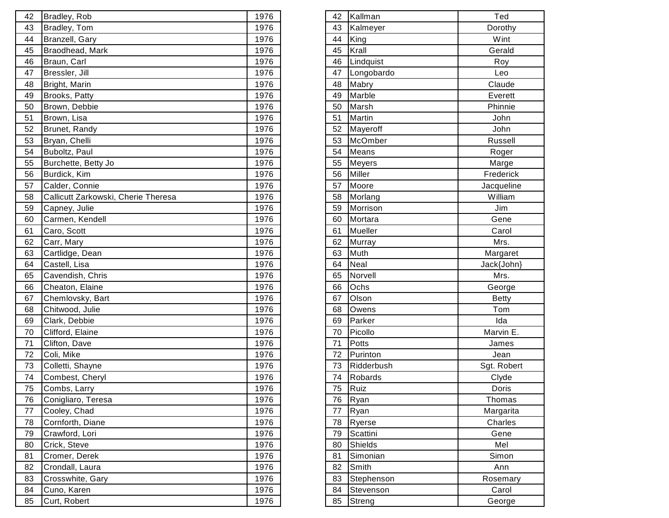| 42 | Bradley, Rob                        | 1976 | 42 | Kallman    | Ted          |
|----|-------------------------------------|------|----|------------|--------------|
| 43 | Bradley, Tom                        | 1976 | 43 | Kalmeyer   | Dorothy      |
| 44 | Branzell, Gary                      | 1976 | 44 | King       | Wint         |
| 45 | Braodhead, Mark                     | 1976 | 45 | Krall      | Gerald       |
| 46 | Braun, Carl                         | 1976 | 46 | Lindquist  | Roy          |
| 47 | Bressler, Jill                      | 1976 | 47 | Longobardo | Leo          |
| 48 | Bright, Marin                       | 1976 | 48 | Mabry      | Claude       |
| 49 | Brooks, Patty                       | 1976 | 49 | Marble     | Everett      |
| 50 | Brown, Debbie                       | 1976 | 50 | Marsh      | Phinnie      |
| 51 | Brown, Lisa                         | 1976 | 51 | Martin     | John         |
| 52 | Brunet, Randy                       | 1976 | 52 | Mayeroff   | John         |
| 53 | Bryan, Chelli                       | 1976 | 53 | McOmber    | Russell      |
| 54 | Buboltz, Paul                       | 1976 | 54 | Means      | Roger        |
| 55 | Burchette, Betty Jo                 | 1976 | 55 | Meyers     | Marge        |
| 56 | Burdick, Kim                        | 1976 | 56 | Miller     | Frederick    |
| 57 | Calder, Connie                      | 1976 | 57 | Moore      | Jacqueline   |
| 58 | Callicutt Zarkowski, Cherie Theresa | 1976 | 58 | Morlang    | William      |
| 59 | Capney, Julie                       | 1976 | 59 | Morrison   | Jim          |
| 60 | Carmen, Kendell                     | 1976 | 60 | Mortara    | Gene         |
| 61 | Caro, Scott                         | 1976 | 61 | Mueller    | Carol        |
| 62 | Carr, Mary                          | 1976 | 62 | Murray     | Mrs.         |
| 63 | Cartlidge, Dean                     | 1976 | 63 | Muth       | Margaret     |
| 64 | Castell, Lisa                       | 1976 | 64 | Neal       | Jack{John}   |
| 65 | Cavendish, Chris                    | 1976 | 65 | Norvell    | Mrs.         |
| 66 | Cheaton, Elaine                     | 1976 | 66 | Ochs       | George       |
| 67 | Chemlovsky, Bart                    | 1976 | 67 | Olson      | <b>Betty</b> |
| 68 | Chitwood, Julie                     | 1976 | 68 | Owens      | Tom          |
| 69 | Clark, Debbie                       | 1976 | 69 | Parker     | Ida          |
| 70 | Clifford, Elaine                    | 1976 | 70 | Picollo    | Marvin E.    |
| 71 | Clifton, Dave                       | 1976 | 71 | Potts      | James        |
| 72 | Coli, Mike                          | 1976 | 72 | Purinton   | Jean         |
| 73 | Colletti, Shayne                    | 1976 | 73 | Ridderbush | Sgt. Robert  |
| 74 | Combest, Cheryl                     | 1976 | 74 | Robards    | Clyde        |
| 75 | Combs, Larry                        | 1976 |    | 75 Ruiz    | Doris        |
| 76 | Conigliaro, Teresa                  | 1976 | 76 | Ryan       | Thomas       |
| 77 | Cooley, Chad                        | 1976 | 77 | Ryan       | Margarita    |
| 78 | Cornforth, Diane                    | 1976 | 78 | Ryerse     | Charles      |
| 79 | Crawford, Lori                      | 1976 | 79 | Scattini   | Gene         |
| 80 | Crick, Steve                        | 1976 | 80 | Shields    | Mel          |
| 81 | Cromer, Derek                       | 1976 | 81 | Simonian   | Simon        |
| 82 | Crondall, Laura                     | 1976 | 82 | Smith      | Ann          |
| 83 | Crosswhite, Gary                    | 1976 | 83 | Stephenson | Rosemary     |
| 84 | Cuno, Karen                         | 1976 | 84 | Stevenson  | Carol        |
| 85 | Curt, Robert                        | 1976 | 85 | Streng     | George       |
|    |                                     |      |    |            |              |

| 42 | Kallman        | Ted          |
|----|----------------|--------------|
| 43 | Kalmeyer       | Dorothy      |
| 44 | King           | Wint         |
| 45 | Krall          | Gerald       |
| 46 | Lindquist      | Roy          |
| 47 | Longobardo     | Leo          |
| 48 | Mabry          | Claude       |
| 49 | Marble         | Everett      |
| 50 | Marsh          | Phinnie      |
| 51 | Martin         | John         |
| 52 | Mayeroff       | John         |
| 53 | McOmber        | Russell      |
| 54 | Means          | Roger        |
| 55 | Meyers         | Marge        |
| 56 | Miller         | Frederick    |
| 57 | Moore          | Jacqueline   |
| 58 | Morlang        | William      |
| 59 | Morrison       | Jim          |
| 60 | Mortara        | Gene         |
| 61 | Mueller        | Carol        |
| 62 | Murray         | Mrs.         |
| 63 | Muth           | Margaret     |
| 64 | Neal           | Jack{John}   |
| 65 | Norvell        | Mrs.         |
| 66 | Ochs           | George       |
| 67 | Olson          | <b>Betty</b> |
| 68 | Owens          | Tom          |
| 69 | Parker         | Ida          |
| 70 | Picollo        | Marvin E.    |
| 71 | <b>Potts</b>   | James        |
| 72 | Purinton       | Jean         |
| 73 | Ridderbush     | Sgt. Robert  |
| 74 | Robards        | Clyde        |
| 75 | Ruiz           | Doris        |
| 76 | Ryan           | Thomas       |
| 77 | Ryan           | Margarita    |
| 78 | Ryerse         | Charles      |
| 79 | Scattini       | Gene         |
| 80 | <b>Shields</b> | Mel          |
| 81 | Simonian       | Simon        |
| 82 | Smith          | Ann          |
| 83 | Stephenson     | Rosemary     |
| 84 | Stevenson      | Carol        |
|    |                | George       |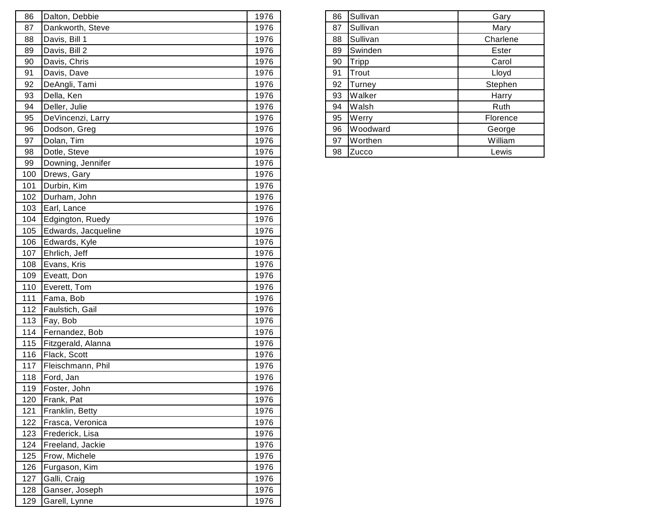| 86  | Dalton, Debbie      | 1976 | 86 | Sullivan | Gary     |
|-----|---------------------|------|----|----------|----------|
| 87  | Dankworth, Steve    | 1976 | 87 | Sullivan | Mary     |
| 88  | Davis, Bill 1       | 1976 | 88 | Sullivan | Charlene |
| 89  | Davis, Bill 2       | 1976 | 89 | Swinden  | Ester    |
| 90  | Davis, Chris        | 1976 | 90 | Tripp    | Carol    |
| 91  | Davis, Dave         | 1976 | 91 | Trout    | Lloyd    |
| 92  | DeAngli, Tami       | 1976 | 92 | Turney   | Stephen  |
| 93  | Della, Ken          | 1976 | 93 | Walker   | Harry    |
| 94  | Deller, Julie       | 1976 | 94 | Walsh    | Ruth     |
| 95  | DeVincenzi, Larry   | 1976 | 95 | Werry    | Florence |
| 96  | Dodson, Greg        | 1976 | 96 | Woodward | George   |
| 97  | Dolan, Tim          | 1976 | 97 | Worthen  | William  |
| 98  | Dotle, Steve        | 1976 | 98 | Zucco    | Lewis    |
| 99  | Downing, Jennifer   | 1976 |    |          |          |
| 100 | Drews, Gary         | 1976 |    |          |          |
| 101 | Durbin, Kim         | 1976 |    |          |          |
| 102 | Durham, John        | 1976 |    |          |          |
| 103 | Earl, Lance         | 1976 |    |          |          |
| 104 | Edgington, Ruedy    | 1976 |    |          |          |
| 105 | Edwards, Jacqueline | 1976 |    |          |          |
| 106 | Edwards, Kyle       | 1976 |    |          |          |
| 107 | Ehrlich, Jeff       | 1976 |    |          |          |
| 108 | Evans, Kris         | 1976 |    |          |          |
| 109 | Eveatt, Don         | 1976 |    |          |          |
| 110 | Everett, Tom        | 1976 |    |          |          |
| 111 | Fama, Bob           | 1976 |    |          |          |
| 112 | Faulstich, Gail     | 1976 |    |          |          |
| 113 | Fay, Bob            | 1976 |    |          |          |
|     | 114 Fernandez, Bob  | 1976 |    |          |          |
| 115 | Fitzgerald, Alanna  | 1976 |    |          |          |
| 116 | Flack, Scott        | 1976 |    |          |          |
| 117 | Fleischmann, Phil   | 1976 |    |          |          |
| 118 | Ford, Jan           | 1976 |    |          |          |
| 119 | Foster, John        | 1976 |    |          |          |
| 120 | Frank, Pat          | 1976 |    |          |          |
| 121 | Franklin, Betty     | 1976 |    |          |          |
| 122 | Frasca, Veronica    | 1976 |    |          |          |
| 123 | Frederick, Lisa     | 1976 |    |          |          |
| 124 | Freeland, Jackie    | 1976 |    |          |          |
| 125 | Frow, Michele       | 1976 |    |          |          |
| 126 | Furgason, Kim       | 1976 |    |          |          |
| 127 | Galli, Craig        | 1976 |    |          |          |
| 128 | Ganser, Joseph      | 1976 |    |          |          |
| 129 | Garell, Lynne       | 1976 |    |          |          |

| 86 | Sullivan     | Gary     |
|----|--------------|----------|
| 87 | Sullivan     | Mary     |
| 88 | Sullivan     | Charlene |
| 89 | Swinden      | Ester    |
| 90 | <b>Tripp</b> | Carol    |
| 91 | Trout        | Lloyd    |
| 92 | Turney       | Stephen  |
| 93 | Walker       | Harry    |
| 94 | Walsh        | Ruth     |
| 95 | Werry        | Florence |
| 96 | Woodward     | George   |
| 97 | Worthen      | William  |
| 98 | Zucco        | Lewis    |
|    |              |          |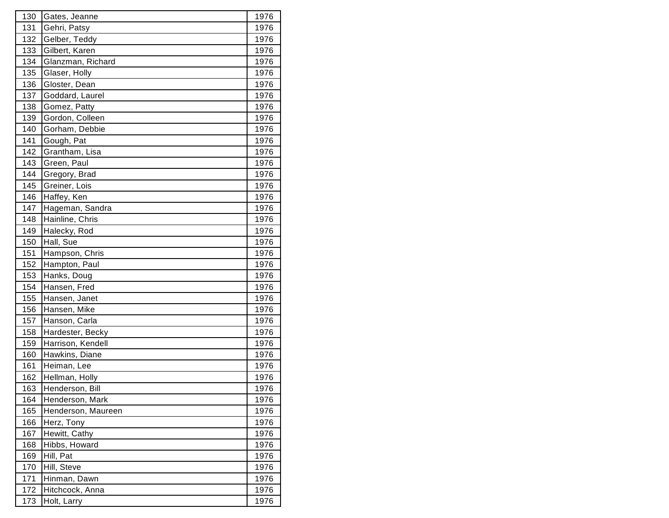| 130 | Gates, Jeanne      | 1976 |
|-----|--------------------|------|
| 131 | Gehri, Patsy       | 1976 |
| 132 | Gelber, Teddy      | 1976 |
| 133 | Gilbert, Karen     | 1976 |
| 134 | Glanzman, Richard  | 1976 |
| 135 | Glaser, Holly      | 1976 |
| 136 | Gloster, Dean      | 1976 |
| 137 | Goddard, Laurel    | 1976 |
| 138 | Gomez, Patty       | 1976 |
| 139 | Gordon, Colleen    | 1976 |
| 140 | Gorham, Debbie     | 1976 |
| 141 | Gough, Pat         | 1976 |
| 142 | Grantham, Lisa     | 1976 |
| 143 | Green, Paul        | 1976 |
| 144 | Gregory, Brad      | 1976 |
| 145 | Greiner, Lois      | 1976 |
| 146 | Haffey, Ken        | 1976 |
| 147 | Hageman, Sandra    | 1976 |
| 148 | Hainline, Chris    | 1976 |
| 149 | Halecky, Rod       | 1976 |
| 150 | Hall, Sue          | 1976 |
| 151 | Hampson, Chris     | 1976 |
| 152 | Hampton, Paul      | 1976 |
| 153 | Hanks, Doug        | 1976 |
| 154 | Hansen, Fred       | 1976 |
| 155 | Hansen, Janet      | 1976 |
| 156 | Hansen, Mike       | 1976 |
| 157 | Hanson, Carla      | 1976 |
| 158 | Hardester, Becky   | 1976 |
| 159 | Harrison, Kendell  | 1976 |
| 160 | Hawkins, Diane     | 1976 |
| 161 | Heiman, Lee        | 1976 |
| 162 | Hellman, Holly     | 1976 |
| 163 | Henderson, Bill    | 1976 |
| 164 | Henderson, Mark    | 1976 |
| 165 | Henderson, Maureen | 1976 |
| 166 | Herz, Tony         | 1976 |
| 167 | Hewitt, Cathy      | 1976 |
| 168 | Hibbs, Howard      | 1976 |
| 169 | Hill, Pat          | 1976 |
| 170 | Hill, Steve        | 1976 |
| 171 | Hinman, Dawn       | 1976 |
| 172 | Hitchcock, Anna    | 1976 |
| 173 | Holt, Larry        | 1976 |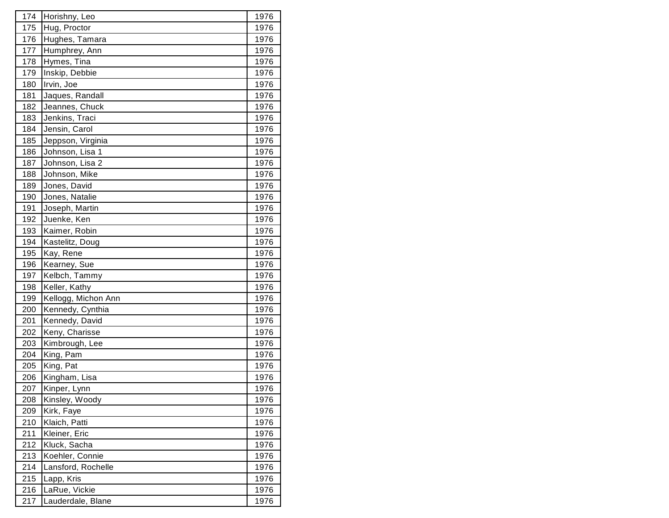| 174 | Horishny, Leo       | 1976 |
|-----|---------------------|------|
| 175 | Hug, Proctor        | 1976 |
| 176 | Hughes, Tamara      | 1976 |
| 177 | Humphrey, Ann       | 1976 |
| 178 | Hymes, Tina         | 1976 |
| 179 | Inskip, Debbie      | 1976 |
| 180 | Irvin, Joe          | 1976 |
| 181 | Jaques, Randall     | 1976 |
| 182 | Jeannes, Chuck      | 1976 |
| 183 | Jenkins, Traci      | 1976 |
| 184 | Jensin, Carol       | 1976 |
| 185 | Jeppson, Virginia   | 1976 |
| 186 | Johnson, Lisa 1     | 1976 |
| 187 | Johnson, Lisa 2     | 1976 |
| 188 | Johnson, Mike       | 1976 |
| 189 | Jones, David        | 1976 |
| 190 | Jones, Natalie      | 1976 |
| 191 | Joseph, Martin      | 1976 |
| 192 | Juenke, Ken         | 1976 |
| 193 | Kaimer, Robin       | 1976 |
| 194 | Kastelitz, Doug     | 1976 |
| 195 | Kay, Rene           | 1976 |
| 196 | Kearney, Sue        | 1976 |
| 197 | Kelbch, Tammy       | 1976 |
| 198 | Keller, Kathy       | 1976 |
| 199 | Kellogg, Michon Ann | 1976 |
| 200 | Kennedy, Cynthia    | 1976 |
| 201 | Kennedy, David      | 1976 |
| 202 | Keny, Charisse      | 1976 |
| 203 | Kimbrough, Lee      | 1976 |
| 204 | King, Pam           | 1976 |
| 205 | King, Pat           | 1976 |
| 206 | Kingham, Lisa       | 1976 |
| 207 | Kinper, Lynn        | 1976 |
| 208 | Kinsley, Woody      | 1976 |
| 209 | Kirk, Faye          | 1976 |
| 210 | Klaich, Patti       | 1976 |
| 211 | Kleiner, Eric       | 1976 |
| 212 | Kluck, Sacha        | 1976 |
| 213 | Koehler, Connie     | 1976 |
| 214 | Lansford, Rochelle  | 1976 |
| 215 | Lapp, Kris          | 1976 |
| 216 | LaRue, Vickie       | 1976 |
| 217 | Lauderdale, Blane   | 1976 |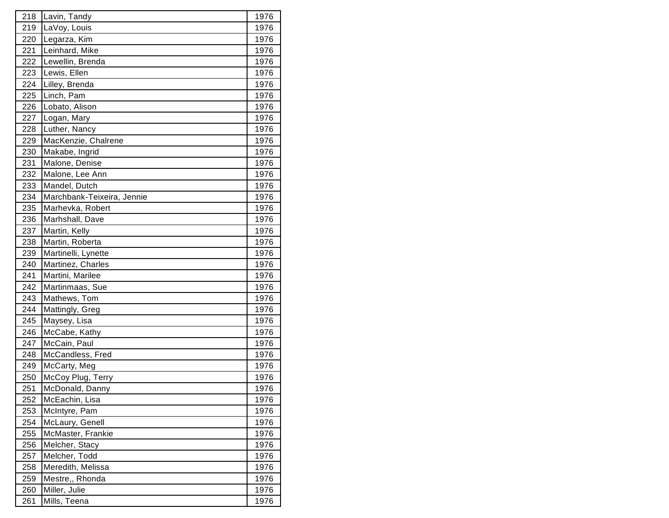| 218 | Lavin, Tandy               | 1976 |
|-----|----------------------------|------|
| 219 | LaVoy, Louis               | 1976 |
| 220 | Legarza, Kim               | 1976 |
| 221 | Leinhard, Mike             | 1976 |
| 222 | Lewellin, Brenda           | 1976 |
| 223 | Lewis, Ellen               | 1976 |
| 224 | Lilley, Brenda             | 1976 |
| 225 | Linch, Pam                 | 1976 |
| 226 | Lobato, Alison             | 1976 |
| 227 | Logan, Mary                | 1976 |
| 228 | Luther, Nancy              | 1976 |
| 229 | MacKenzie, Chalrene        | 1976 |
| 230 | Makabe, Ingrid             | 1976 |
| 231 | Malone, Denise             | 1976 |
| 232 | Malone, Lee Ann            | 1976 |
| 233 | Mandel, Dutch              | 1976 |
| 234 | Marchbank-Teixeira, Jennie | 1976 |
| 235 | Marhevka, Robert           | 1976 |
| 236 | Marhshall, Dave            | 1976 |
| 237 | Martin, Kelly              | 1976 |
| 238 | Martin, Roberta            | 1976 |
| 239 | Martinelli, Lynette        | 1976 |
| 240 | Martinez, Charles          | 1976 |
| 241 | Martini, Marilee           | 1976 |
| 242 | Martinmaas, Sue            | 1976 |
| 243 | Mathews, Tom               | 1976 |
| 244 | Mattingly, Greg            | 1976 |
| 245 | Maysey, Lisa               | 1976 |
| 246 | McCabe, Kathy              | 1976 |
| 247 | McCain, Paul               | 1976 |
| 248 | McCandless, Fred           | 1976 |
| 249 | McCarty, Meg               | 1976 |
| 250 | McCoy Plug, Terry          | 1976 |
| 251 | McDonald, Danny            | 1976 |
| 252 | McEachin, Lisa             | 1976 |
| 253 | McIntyre, Pam              | 1976 |
| 254 | McLaury, Genell            | 1976 |
| 255 | McMaster, Frankie          | 1976 |
| 256 | Melcher, Stacy             | 1976 |
| 257 | Melcher, Todd              | 1976 |
| 258 | Meredith, Melissa          | 1976 |
| 259 | Mestre,, Rhonda            | 1976 |
| 260 | Miller, Julie              | 1976 |
| 261 | Mills, Teena               | 1976 |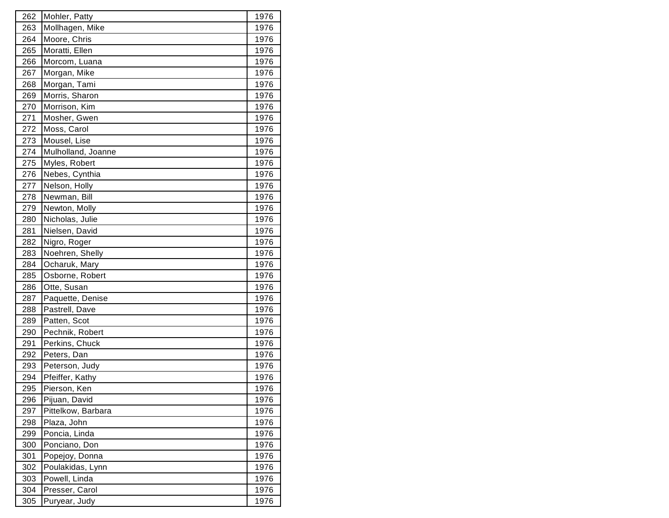| 262 | Mohler, Patty      | 1976 |
|-----|--------------------|------|
| 263 | Mollhagen, Mike    | 1976 |
| 264 | Moore, Chris       | 1976 |
| 265 | Moratti, Ellen     | 1976 |
| 266 | Morcom, Luana      | 1976 |
| 267 | Morgan, Mike       | 1976 |
| 268 | Morgan, Tami       | 1976 |
| 269 | Morris, Sharon     | 1976 |
| 270 | Morrison, Kim      | 1976 |
| 271 | Mosher, Gwen       | 1976 |
| 272 | Moss, Carol        | 1976 |
| 273 | Mousel, Lise       | 1976 |
| 274 | Mulholland, Joanne | 1976 |
| 275 | Myles, Robert      | 1976 |
| 276 | Nebes, Cynthia     | 1976 |
| 277 | Nelson, Holly      | 1976 |
| 278 | Newman, Bill       | 1976 |
| 279 | Newton, Molly      | 1976 |
| 280 | Nicholas, Julie    | 1976 |
| 281 | Nielsen, David     | 1976 |
| 282 | Nigro, Roger       | 1976 |
| 283 | Noehren, Shelly    | 1976 |
| 284 | Ocharuk, Mary      | 1976 |
| 285 | Osborne, Robert    | 1976 |
| 286 | Otte, Susan        | 1976 |
| 287 | Paquette, Denise   | 1976 |
| 288 | Pastrell, Dave     | 1976 |
| 289 | Patten, Scot       | 1976 |
| 290 | Pechnik, Robert    | 1976 |
| 291 | Perkins, Chuck     | 1976 |
| 292 | Peters, Dan        | 1976 |
| 293 | Peterson, Judy     | 1976 |
| 294 | Pfeiffer, Kathy    | 1976 |
| 295 | Pierson, Ken       | 1976 |
| 296 | Pijuan, David      | 1976 |
| 297 | Pittelkow, Barbara | 1976 |
| 298 | Plaza, John        | 1976 |
| 299 | Poncia, Linda      | 1976 |
| 300 | Ponciano, Don      | 1976 |
| 301 | Popejoy, Donna     | 1976 |
| 302 | Poulakidas, Lynn   | 1976 |
| 303 | Powell, Linda      | 1976 |
| 304 | Presser, Carol     | 1976 |
| 305 | Puryear, Judy      | 1976 |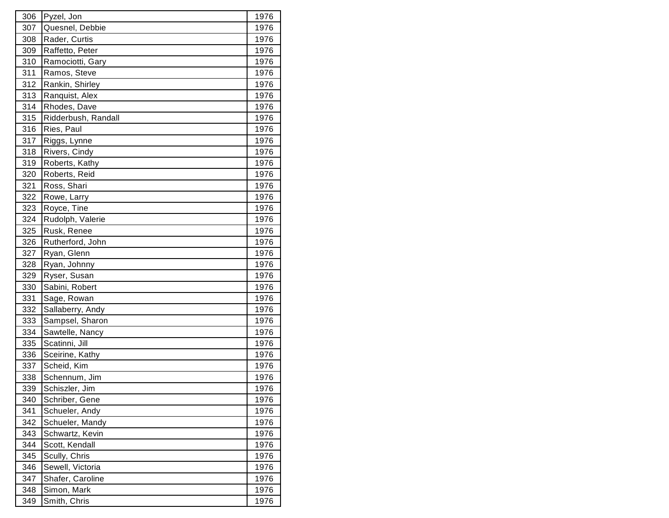| 306 | Pyzel, Jon          | 1976 |
|-----|---------------------|------|
| 307 | Quesnel, Debbie     | 1976 |
| 308 | Rader, Curtis       | 1976 |
| 309 | Raffetto, Peter     | 1976 |
| 310 | Ramociotti, Gary    | 1976 |
| 311 | Ramos, Steve        | 1976 |
| 312 | Rankin, Shirley     | 1976 |
| 313 | Ranquist, Alex      | 1976 |
| 314 | Rhodes, Dave        | 1976 |
| 315 | Ridderbush, Randall | 1976 |
| 316 | Ries, Paul          | 1976 |
| 317 | Riggs, Lynne        | 1976 |
| 318 | Rivers, Cindy       | 1976 |
| 319 | Roberts, Kathy      | 1976 |
| 320 | Roberts, Reid       | 1976 |
| 321 | Ross, Shari         | 1976 |
| 322 | Rowe, Larry         | 1976 |
| 323 | Royce, Tine         | 1976 |
| 324 | Rudolph, Valerie    | 1976 |
| 325 | Rusk, Renee         | 1976 |
| 326 | Rutherford, John    | 1976 |
| 327 | Ryan, Glenn         | 1976 |
| 328 | Ryan, Johnny        | 1976 |
| 329 | Ryser, Susan        | 1976 |
| 330 | Sabini, Robert      | 1976 |
| 331 | Sage, Rowan         | 1976 |
| 332 | Sallaberry, Andy    | 1976 |
| 333 | Sampsel, Sharon     | 1976 |
| 334 | Sawtelle, Nancy     | 1976 |
| 335 | Scatinni, Jill      | 1976 |
| 336 | Sceirine, Kathy     | 1976 |
| 337 | Scheid, Kim         | 1976 |
| 338 | Schennum, Jim       | 1976 |
| 339 | Schiszler, Jim      | 1976 |
| 340 | Schriber, Gene      | 1976 |
| 341 | Schueler, Andy      | 1976 |
| 342 | Schueler, Mandy     | 1976 |
| 343 | Schwartz, Kevin     | 1976 |
| 344 | Scott, Kendall      | 1976 |
| 345 | Scully, Chris       | 1976 |
| 346 | Sewell, Victoria    | 1976 |
| 347 | Shafer, Caroline    | 1976 |
| 348 | Simon, Mark         | 1976 |
| 349 | Smith, Chris        | 1976 |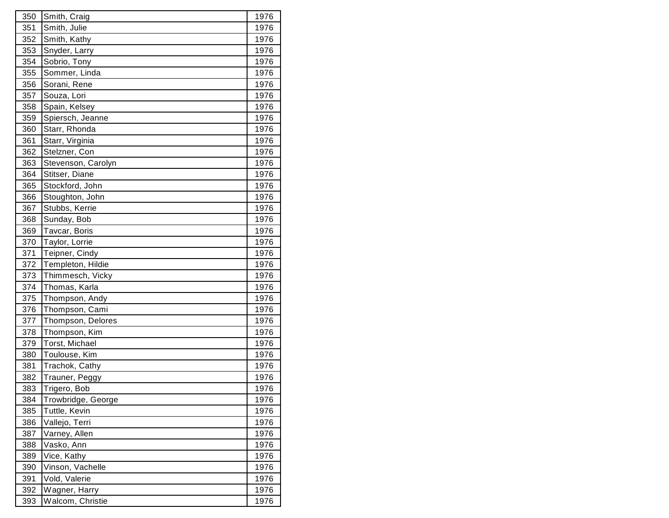| 350 | Smith, Craig       | 1976 |
|-----|--------------------|------|
| 351 | Smith, Julie       | 1976 |
| 352 | Smith, Kathy       | 1976 |
| 353 | Snyder, Larry      | 1976 |
| 354 | Sobrio, Tony       | 1976 |
| 355 | Sommer, Linda      | 1976 |
| 356 | Sorani, Rene       | 1976 |
| 357 | Souza, Lori        | 1976 |
| 358 | Spain, Kelsey      | 1976 |
| 359 | Spiersch, Jeanne   | 1976 |
| 360 | Starr, Rhonda      | 1976 |
| 361 | Starr, Virginia    | 1976 |
| 362 | Stelzner, Con      | 1976 |
| 363 | Stevenson, Carolyn | 1976 |
| 364 | Stitser, Diane     | 1976 |
| 365 | Stockford, John    | 1976 |
| 366 | Stoughton, John    | 1976 |
| 367 | Stubbs, Kerrie     | 1976 |
| 368 | Sunday, Bob        | 1976 |
| 369 | Tavcar, Boris      | 1976 |
| 370 | Taylor, Lorrie     | 1976 |
| 371 | Teipner, Cindy     | 1976 |
| 372 | Templeton, Hildie  | 1976 |
| 373 | Thimmesch, Vicky   | 1976 |
| 374 | Thomas, Karla      | 1976 |
| 375 | Thompson, Andy     | 1976 |
| 376 | Thompson, Cami     | 1976 |
| 377 | Thompson, Delores  | 1976 |
| 378 | Thompson, Kim      | 1976 |
| 379 | Torst, Michael     | 1976 |
| 380 | Toulouse, Kim      | 1976 |
| 381 | Trachok, Cathy     | 1976 |
| 382 | Trauner, Peggy     | 1976 |
| 383 | Trigero, Bob       | 1976 |
| 384 | Trowbridge, George | 1976 |
| 385 | Tuttle, Kevin      | 1976 |
| 386 | Vallejo, Terri     | 1976 |
| 387 | Varney, Allen      | 1976 |
| 388 | Vasko, Ann         | 1976 |
| 389 | Vice, Kathy        | 1976 |
| 390 | Vinson, Vachelle   | 1976 |
| 391 | Vold, Valerie      | 1976 |
| 392 | Wagner, Harry      | 1976 |
| 393 | Walcom, Christie   | 1976 |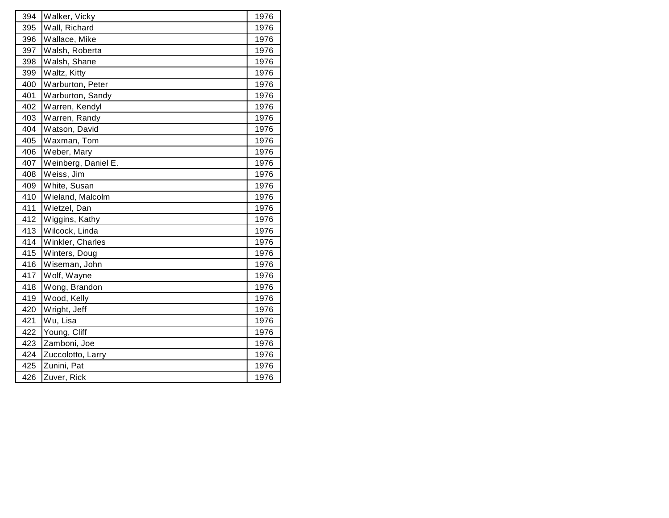| 394 | Walker, Vicky       | 1976 |
|-----|---------------------|------|
| 395 | Wall, Richard       | 1976 |
| 396 | Wallace, Mike       | 1976 |
| 397 | Walsh, Roberta      | 1976 |
| 398 | Walsh, Shane        | 1976 |
| 399 | Waltz, Kitty        | 1976 |
| 400 | Warburton, Peter    | 1976 |
| 401 | Warburton, Sandy    | 1976 |
| 402 | Warren, Kendyl      | 1976 |
| 403 | Warren, Randy       | 1976 |
| 404 | Watson, David       | 1976 |
| 405 | Waxman, Tom         | 1976 |
| 406 | Weber, Mary         | 1976 |
| 407 | Weinberg, Daniel E. | 1976 |
| 408 | Weiss, Jim          | 1976 |
| 409 | White, Susan        | 1976 |
| 410 | Wieland, Malcolm    | 1976 |
| 411 | Wietzel, Dan        | 1976 |
| 412 | Wiggins, Kathy      | 1976 |
| 413 | Wilcock, Linda      | 1976 |
| 414 | Winkler, Charles    | 1976 |
| 415 | Winters, Doug       | 1976 |
| 416 | Wiseman, John       | 1976 |
| 417 | Wolf, Wayne         | 1976 |
| 418 | Wong, Brandon       | 1976 |
| 419 | Wood, Kelly         | 1976 |
| 420 | Wright, Jeff        | 1976 |
| 421 | Wu, Lisa            | 1976 |
| 422 | Young, Cliff        | 1976 |
| 423 | Zamboni, Joe        | 1976 |
| 424 | Zuccolotto, Larry   | 1976 |
| 425 | Zunini, Pat         | 1976 |
| 426 | Zuver, Rick         | 1976 |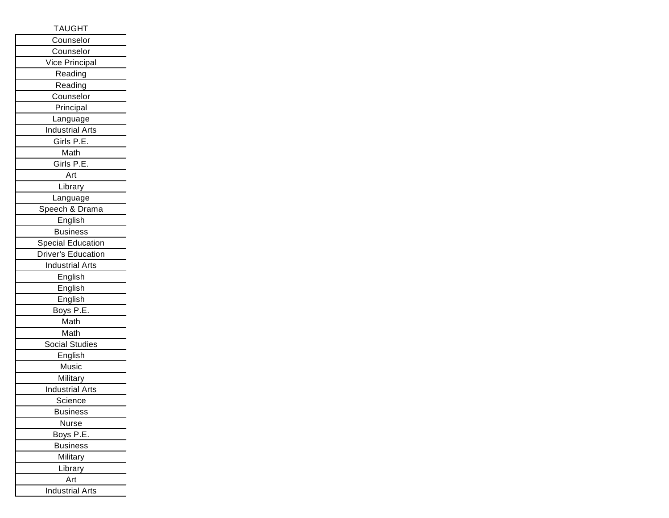## TAUGHT

| Counselor                |
|--------------------------|
| Counselor                |
| Vice Principal           |
| Reading                  |
| Reading                  |
| Counselor                |
| Principal                |
| Language                 |
| <b>Industrial Arts</b>   |
| Girls P.E.               |
| Math                     |
| Girls P.E.               |
| Art                      |
| Library                  |
| Language                 |
| Speech & Drama           |
| English                  |
| <b>Business</b>          |
| <b>Special Education</b> |
| Driver's Education       |
| <b>Industrial Arts</b>   |
| English                  |
| English                  |
| English                  |
| Boys P.E.                |
| Math                     |
| Math                     |
| Social Studies           |
| English                  |
| Music                    |
| Military                 |
| <b>Industrial Arts</b>   |
| Science                  |
| <b>Business</b>          |
| Nurse                    |
| Boys P.E.                |
| <b>Business</b>          |
| Military                 |
| Library                  |
| Art                      |
| <b>Industrial Arts</b>   |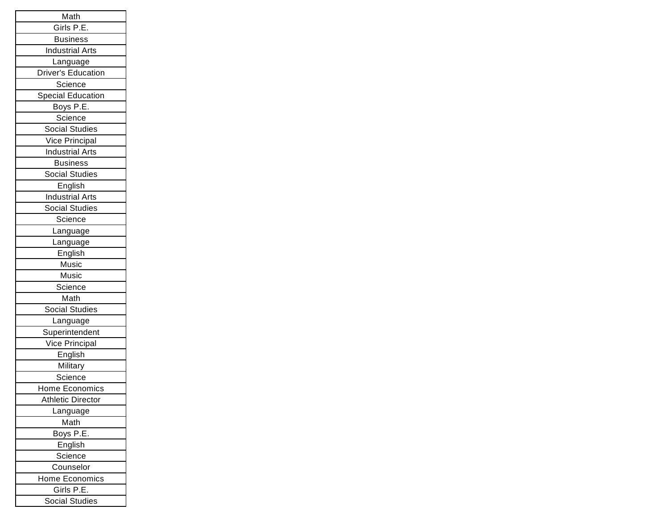| Math                      |
|---------------------------|
| Girls P.E.                |
| <b>Business</b>           |
| <b>Industrial Arts</b>    |
| Language                  |
| <b>Driver's Education</b> |
| Science                   |
| <b>Special Education</b>  |
| Boys P.E.                 |
| Science                   |
| <b>Social Studies</b>     |
| Vice Principal            |
| <b>Industrial Arts</b>    |
| <b>Business</b>           |
| <b>Social Studies</b>     |
| English                   |
| <b>Industrial Arts</b>    |
| Social Studies            |
| Science                   |
| Language                  |
| Language                  |
| English                   |
| Music                     |
| Music                     |
| Science                   |
| Math                      |
| <b>Social Studies</b>     |
| Language                  |
| Superintendent            |
| Vice Principal            |
| English                   |
| Military                  |
| Science                   |
| Home Economics            |
| <b>Athletic Director</b>  |
| Language                  |
| Math                      |
| Boys P.E.                 |
| English                   |
| Science                   |
| Counselor                 |
| Home Economics            |
| Girls P.E.                |
| <b>Social Studies</b>     |